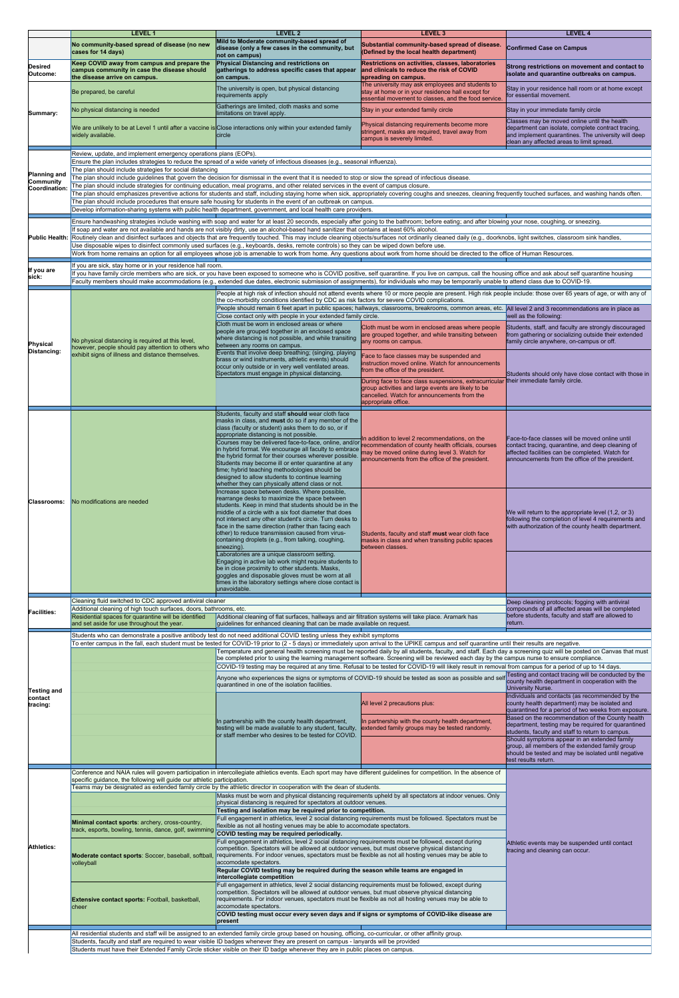|                                                          | <b>LEVEL 1</b>                                                                                                                                                                                                                                                                                                                                                                                                                                                                                                                                                                                                                                                                                                                                                                                                              | <b>LEVEL 2</b>                                                                                                                                                                                                                                                                                                                                                                                                                                                                                                                                                                                                                                                             | <b>LEVEL 3</b>                                                                                                                                                                                                                                                                                                                                                                                                                                                                                                                                                                                                                                                                    | <b>LEVEL 4</b>                                                                                                                                                                                                                                                                                                                                |  |  |  |
|----------------------------------------------------------|-----------------------------------------------------------------------------------------------------------------------------------------------------------------------------------------------------------------------------------------------------------------------------------------------------------------------------------------------------------------------------------------------------------------------------------------------------------------------------------------------------------------------------------------------------------------------------------------------------------------------------------------------------------------------------------------------------------------------------------------------------------------------------------------------------------------------------|----------------------------------------------------------------------------------------------------------------------------------------------------------------------------------------------------------------------------------------------------------------------------------------------------------------------------------------------------------------------------------------------------------------------------------------------------------------------------------------------------------------------------------------------------------------------------------------------------------------------------------------------------------------------------|-----------------------------------------------------------------------------------------------------------------------------------------------------------------------------------------------------------------------------------------------------------------------------------------------------------------------------------------------------------------------------------------------------------------------------------------------------------------------------------------------------------------------------------------------------------------------------------------------------------------------------------------------------------------------------------|-----------------------------------------------------------------------------------------------------------------------------------------------------------------------------------------------------------------------------------------------------------------------------------------------------------------------------------------------|--|--|--|
|                                                          | No community-based spread of disease (no new<br>cases for 14 days)                                                                                                                                                                                                                                                                                                                                                                                                                                                                                                                                                                                                                                                                                                                                                          | Mild to Moderate community-based spread of<br>disease (only a few cases in the community, but<br>not on campus)                                                                                                                                                                                                                                                                                                                                                                                                                                                                                                                                                            | Substantial community-based spread of disease.<br>(Defined by the local health department)                                                                                                                                                                                                                                                                                                                                                                                                                                                                                                                                                                                        | <b>Confirmed Case on Campus</b>                                                                                                                                                                                                                                                                                                               |  |  |  |
| <b>Desired</b><br>Outcome:                               | Keep COVID away from campus and prepare the<br>campus community in case the disease should<br>the disease arrive on campus.                                                                                                                                                                                                                                                                                                                                                                                                                                                                                                                                                                                                                                                                                                 | <b>Physical Distancing and restrictions on</b><br>gatherings to address specific cases that appear<br>on campus.                                                                                                                                                                                                                                                                                                                                                                                                                                                                                                                                                           | Restrictions on activities, classes, laboratories<br>and clinicals to reduce the risk of COVID<br>spreading on campus.                                                                                                                                                                                                                                                                                                                                                                                                                                                                                                                                                            | Strong restrictions on movement and contact to<br>isolate and quarantine outbreaks on campus.                                                                                                                                                                                                                                                 |  |  |  |
|                                                          | Be prepared, be careful                                                                                                                                                                                                                                                                                                                                                                                                                                                                                                                                                                                                                                                                                                                                                                                                     | The university is open, but physical distancing<br>requirements apply                                                                                                                                                                                                                                                                                                                                                                                                                                                                                                                                                                                                      | The university may ask employees and students to<br>stay at home or in your residence hall except for<br>essential movement to classes, and the food service.                                                                                                                                                                                                                                                                                                                                                                                                                                                                                                                     | Stay in your residence hall room or at home except<br>for essential movement.                                                                                                                                                                                                                                                                 |  |  |  |
| Summary:                                                 | No physical distancing is needed                                                                                                                                                                                                                                                                                                                                                                                                                                                                                                                                                                                                                                                                                                                                                                                            | Gatherings are limited, cloth masks and some<br>limitations on travel apply.                                                                                                                                                                                                                                                                                                                                                                                                                                                                                                                                                                                               | Stay in your extended family circle                                                                                                                                                                                                                                                                                                                                                                                                                                                                                                                                                                                                                                               | Stay in your immediate family circle<br>Classes may be moved online until the health                                                                                                                                                                                                                                                          |  |  |  |
|                                                          | We are unlikely to be at Level 1 until after a vaccine is Close interactions only within your extended family<br>widely available.                                                                                                                                                                                                                                                                                                                                                                                                                                                                                                                                                                                                                                                                                          | circle                                                                                                                                                                                                                                                                                                                                                                                                                                                                                                                                                                                                                                                                     | Physical distancing requirements become more<br>stringent, masks are required, travel away from<br>campus is severely limited.                                                                                                                                                                                                                                                                                                                                                                                                                                                                                                                                                    | department can isolate, complete contract tracing,<br>and implement quarantines. The university will deep<br>clean any affected areas to limit spread.                                                                                                                                                                                        |  |  |  |
|                                                          | Review, update, and implement emergency operations plans (EOPs).<br>Ensure the plan includes strategies to reduce the spread of a wide variety of infectious diseases (e.g., seasonal influenza).                                                                                                                                                                                                                                                                                                                                                                                                                                                                                                                                                                                                                           |                                                                                                                                                                                                                                                                                                                                                                                                                                                                                                                                                                                                                                                                            |                                                                                                                                                                                                                                                                                                                                                                                                                                                                                                                                                                                                                                                                                   |                                                                                                                                                                                                                                                                                                                                               |  |  |  |
| <b>Planning and</b><br><b>Community</b><br>Coordination: | The plan should include strategies for social distancing<br>The plan should include guidelines that govern the decision for dismissal in the event that it is needed to stop or slow the spread of infectious disease.<br>The plan should include strategies for continuing education, meal programs, and other related services in the event of campus closure.<br>The plan should emphasizes preventive actions for students and staff, including staying home when sick, appropriately covering coughs and sneezes, cleaning frequently touched surfaces, and washing hands often.<br>The plan should include procedures that ensure safe housing for students in the event of an outbreak on campus.<br>Develop information-sharing systems with public health department, government, and local health care providers. |                                                                                                                                                                                                                                                                                                                                                                                                                                                                                                                                                                                                                                                                            |                                                                                                                                                                                                                                                                                                                                                                                                                                                                                                                                                                                                                                                                                   |                                                                                                                                                                                                                                                                                                                                               |  |  |  |
|                                                          | Ensure handwashing strategies include washing with soap and water for at least 20 seconds, especially after going to the bathroom; before eating; and after blowing your nose, coughing, or sneezing.<br>If soap and water are not available and hands are not visibly dirty, use an alcohol-based hand sanitizer that contains at least 60% alcohol.                                                                                                                                                                                                                                                                                                                                                                                                                                                                       |                                                                                                                                                                                                                                                                                                                                                                                                                                                                                                                                                                                                                                                                            |                                                                                                                                                                                                                                                                                                                                                                                                                                                                                                                                                                                                                                                                                   |                                                                                                                                                                                                                                                                                                                                               |  |  |  |
|                                                          | Public Health: Routinely clean and disinfect surfaces and objects that are frequently touched. This may include cleaning objects/surfaces not ordinarily cleaned daily (e.g., doorknobs, light switches, classroom sink handle<br>Use disposable wipes to disinfect commonly used surfaces (e.g., keyboards, desks, remote controls) so they can be wiped down before use.<br>Work from home remains an option for all employees whose job is amenable to work from home. Any questions about work from home should be directed to the office of Human Resources.                                                                                                                                                                                                                                                           |                                                                                                                                                                                                                                                                                                                                                                                                                                                                                                                                                                                                                                                                            |                                                                                                                                                                                                                                                                                                                                                                                                                                                                                                                                                                                                                                                                                   |                                                                                                                                                                                                                                                                                                                                               |  |  |  |
| If you are<br>sick:                                      | If you are sick, stay home or in your residence hall room.                                                                                                                                                                                                                                                                                                                                                                                                                                                                                                                                                                                                                                                                                                                                                                  |                                                                                                                                                                                                                                                                                                                                                                                                                                                                                                                                                                                                                                                                            | If you have family circle members who are sick, or you have been exposed to someone who is COVID positive, self quarantine. If you live on campus, call the housing office and ask about self quarantine housing                                                                                                                                                                                                                                                                                                                                                                                                                                                                  |                                                                                                                                                                                                                                                                                                                                               |  |  |  |
|                                                          | Faculty members should make accommodations (e.g., extended due dates, electronic submission of assignments), for individuals who may be temporarily unable to attend class due to COVID-19.<br>People at high risk of infection should not attend events where 10 or more people are present. High risk people include: those over 65 years of age, or with any of                                                                                                                                                                                                                                                                                                                                                                                                                                                          |                                                                                                                                                                                                                                                                                                                                                                                                                                                                                                                                                                                                                                                                            |                                                                                                                                                                                                                                                                                                                                                                                                                                                                                                                                                                                                                                                                                   |                                                                                                                                                                                                                                                                                                                                               |  |  |  |
|                                                          |                                                                                                                                                                                                                                                                                                                                                                                                                                                                                                                                                                                                                                                                                                                                                                                                                             | the co-morbidity conditions identified by CDC as risk factors for severe COVID complications.                                                                                                                                                                                                                                                                                                                                                                                                                                                                                                                                                                              | People should remain 6 feet apart in public spaces; hallways, classrooms, breakrooms, common areas, etc. All level 2 and 3 recommendations are in place as                                                                                                                                                                                                                                                                                                                                                                                                                                                                                                                        |                                                                                                                                                                                                                                                                                                                                               |  |  |  |
| Physical<br>Distancing:                                  | No physical distancing is required at this level,<br>however, people should pay attention to others who<br>exhibit signs of illness and distance themselves.                                                                                                                                                                                                                                                                                                                                                                                                                                                                                                                                                                                                                                                                | Close contact only with people in your extended family circle.<br>Cloth must be worn in enclosed areas or where<br>people are grouped together in an enclosed space<br>where distancing is not possible, and while transiting<br>between any rooms on campus.                                                                                                                                                                                                                                                                                                                                                                                                              | Cloth must be worn in enclosed areas where people<br>are grouped together, and while transiting between<br>any rooms on campus.                                                                                                                                                                                                                                                                                                                                                                                                                                                                                                                                                   | well as the following:<br>Students, staff, and faculty are strongly discouraged<br>from gathering or socializing outside their extended<br>family circle anywhere, on-campus or off.                                                                                                                                                          |  |  |  |
|                                                          |                                                                                                                                                                                                                                                                                                                                                                                                                                                                                                                                                                                                                                                                                                                                                                                                                             | Events that involve deep breathing; (singing, playing<br>brass or wind instruments, athletic events) should<br>occur only outside or in very well ventilated areas.<br>Spectators must engage in physical distancing.                                                                                                                                                                                                                                                                                                                                                                                                                                                      | Face to face classes may be suspended and<br>instruction moved online. Watch for announcements<br>from the office of the president.<br>During face to face class suspensions, extracurricular their immediate family circle.<br>group activities and large events are likely to be<br>cancelled. Watch for announcements from the<br>appropriate office.                                                                                                                                                                                                                                                                                                                          | Students should only have close contact with those in                                                                                                                                                                                                                                                                                         |  |  |  |
| Classrooms:                                              | No modifications are needed                                                                                                                                                                                                                                                                                                                                                                                                                                                                                                                                                                                                                                                                                                                                                                                                 | Students, faculty and staff should wear cloth face<br>masks in class, and <b>must</b> do so if any member of the<br>class (faculty or student) asks them to do so, or if<br>appropriate distancing is not possible.<br>Courses may be delivered face-to-face, online, and/or<br>in hybrid format. We encourage all faculty to embrace<br>the hybrid format for their courses wherever possible. announcements from the office of the president.<br>Students may become ill or enter quarantine at any<br>time; hybrid teaching methodologies should be<br>designed to allow students to continue learning                                                                  | In addition to level 2 recommendations, on the<br>recommendation of county health officials, courses<br>may be moved online during level 3. Watch for                                                                                                                                                                                                                                                                                                                                                                                                                                                                                                                             | Face-to-face classes will be moved online until<br>contact tracing, quarantine, and deep cleaning of<br>affected facilities can be completed. Watch for<br>announcements from the office of the president.                                                                                                                                    |  |  |  |
|                                                          |                                                                                                                                                                                                                                                                                                                                                                                                                                                                                                                                                                                                                                                                                                                                                                                                                             | whether they can physically attend class or not.<br>Increase space between desks. Where possible,<br>rearrange desks to maximize the space between<br>students. Keep in mind that students should be in the<br>middle of a circle with a six foot diameter that does<br>not intersect any other student's circle. Turn desks to<br>face in the same direction (rather than facing each<br>other) to reduce transmission caused from virus-<br>containing droplets (e.g., from talking, coughing,<br>sneezing).<br>Laboratories are a unique classroom setting.<br>Engaging in active lab work might require students to<br>be in close proximity to other students. Masks, | Students, faculty and staff must wear cloth face<br>masks in class and when transiting public spaces<br>between classes.                                                                                                                                                                                                                                                                                                                                                                                                                                                                                                                                                          | We will return to the appropriate level $(1,2, 0r 3)$<br>following the completion of level 4 requirements and<br>with authorization of the county health department.                                                                                                                                                                          |  |  |  |
|                                                          |                                                                                                                                                                                                                                                                                                                                                                                                                                                                                                                                                                                                                                                                                                                                                                                                                             | goggles and disposable gloves must be worn at all<br>times in the laboratory settings where close contact is<br>unavoidable.                                                                                                                                                                                                                                                                                                                                                                                                                                                                                                                                               |                                                                                                                                                                                                                                                                                                                                                                                                                                                                                                                                                                                                                                                                                   |                                                                                                                                                                                                                                                                                                                                               |  |  |  |
|                                                          | Cleaning fluid switched to CDC approved antiviral cleaner<br>Additional cleaning of high touch surfaces, doors, bathrooms, etc.                                                                                                                                                                                                                                                                                                                                                                                                                                                                                                                                                                                                                                                                                             |                                                                                                                                                                                                                                                                                                                                                                                                                                                                                                                                                                                                                                                                            |                                                                                                                                                                                                                                                                                                                                                                                                                                                                                                                                                                                                                                                                                   | Deep cleaning protocols; fogging with antiviral                                                                                                                                                                                                                                                                                               |  |  |  |
| <b>Facilities:</b>                                       | Residential spaces for quarantine will be identified<br>and set aside for use throughout the year.<br>Students who can demonstrate a positive antibody test do not need additional COVID testing unless they exhibit symptoms                                                                                                                                                                                                                                                                                                                                                                                                                                                                                                                                                                                               | compounds of all affected areas will be completed<br>before students, faculty and staff are allowed to<br>Additional cleaning of flat surfaces, hallways and air filtration systems will take place. Aramark has<br>return.<br>guidelines for enhanced cleaning that can be made available on request.                                                                                                                                                                                                                                                                                                                                                                     |                                                                                                                                                                                                                                                                                                                                                                                                                                                                                                                                                                                                                                                                                   |                                                                                                                                                                                                                                                                                                                                               |  |  |  |
| <b>Testing and</b>                                       |                                                                                                                                                                                                                                                                                                                                                                                                                                                                                                                                                                                                                                                                                                                                                                                                                             |                                                                                                                                                                                                                                                                                                                                                                                                                                                                                                                                                                                                                                                                            | To enter campus in the fall, each student must be tested for COVID-19 prior to (2 - 5 days) or immediately upon arrival to the UPIKE campus and self quarantine until their results are negative.<br>Temperature and general health screening must be reported daily by all students, faculty, and staff. Each day a screening quiz will be posted on Canvas that must<br>be completed prior to using the learning management software. Screening will be reviewed each day by the campus nurse to ensure compliance.<br>COVID-19 testing may be required at any time. Refusal to be tested for COVID-19 will likely result in removal from campus for a period of up to 14 days. | Testing and contact tracing will be conducted by the                                                                                                                                                                                                                                                                                          |  |  |  |
|                                                          |                                                                                                                                                                                                                                                                                                                                                                                                                                                                                                                                                                                                                                                                                                                                                                                                                             | quarantined in one of the isolation facilities.                                                                                                                                                                                                                                                                                                                                                                                                                                                                                                                                                                                                                            | Anyone who experiences the signs or symptoms of COVID-19 should be tested as soon as possible and self                                                                                                                                                                                                                                                                                                                                                                                                                                                                                                                                                                            | county health department in cooperation with the<br><b>University Nurse.</b>                                                                                                                                                                                                                                                                  |  |  |  |
| contact<br>tracing:                                      |                                                                                                                                                                                                                                                                                                                                                                                                                                                                                                                                                                                                                                                                                                                                                                                                                             |                                                                                                                                                                                                                                                                                                                                                                                                                                                                                                                                                                                                                                                                            | All level 2 precautions plus:                                                                                                                                                                                                                                                                                                                                                                                                                                                                                                                                                                                                                                                     | Individuals and contacts (as recommended by the<br>county health department) may be isolated and<br>quarantined for a period of two weeks from exposure.                                                                                                                                                                                      |  |  |  |
|                                                          |                                                                                                                                                                                                                                                                                                                                                                                                                                                                                                                                                                                                                                                                                                                                                                                                                             | In partnership with the county health department,<br>testing will be made available to any student, faculty,<br>or staff member who desires to be tested for COVID.                                                                                                                                                                                                                                                                                                                                                                                                                                                                                                        | In partnership with the county health department,<br>extended family groups may be tested randomly.                                                                                                                                                                                                                                                                                                                                                                                                                                                                                                                                                                               | Based on the recommendation of the County health<br>department, testing may be required for quarantined<br>students, faculty and staff to return to campus.<br>Should symptoms appear in an extended family<br>group, all members of the extended family group<br>should be tested and may be isolated until negative<br>test results return. |  |  |  |
|                                                          | Conference and NAIA rules will govern participation in intercollegiate athletics events. Each sport may have different guidelines for competition. In the absence of<br>specific guidance, the following will guide our athletic participation.                                                                                                                                                                                                                                                                                                                                                                                                                                                                                                                                                                             |                                                                                                                                                                                                                                                                                                                                                                                                                                                                                                                                                                                                                                                                            |                                                                                                                                                                                                                                                                                                                                                                                                                                                                                                                                                                                                                                                                                   |                                                                                                                                                                                                                                                                                                                                               |  |  |  |
| <b>Athletics:</b>                                        | Teams may be designated as extended family circle by the athletic director in cooperation with the dean of students.                                                                                                                                                                                                                                                                                                                                                                                                                                                                                                                                                                                                                                                                                                        |                                                                                                                                                                                                                                                                                                                                                                                                                                                                                                                                                                                                                                                                            |                                                                                                                                                                                                                                                                                                                                                                                                                                                                                                                                                                                                                                                                                   |                                                                                                                                                                                                                                                                                                                                               |  |  |  |
|                                                          | Minimal contact sports: archery, cross-country,<br>track, esports, bowling, tennis, dance, golf, swimming                                                                                                                                                                                                                                                                                                                                                                                                                                                                                                                                                                                                                                                                                                                   | Testing and isolation may be required prior to competition.<br>Full engagement in athletics, level 2 social distancing requirements must be followed. Spectators must be<br>flexible as not all hosting venues may be able to accomodate spectators.                                                                                                                                                                                                                                                                                                                                                                                                                       |                                                                                                                                                                                                                                                                                                                                                                                                                                                                                                                                                                                                                                                                                   |                                                                                                                                                                                                                                                                                                                                               |  |  |  |
|                                                          | Moderate contact sports: Soccer, baseball, softball<br>volleyball                                                                                                                                                                                                                                                                                                                                                                                                                                                                                                                                                                                                                                                                                                                                                           | COVID testing may be required periodically.<br>Full engagement in athletics, level 2 social distancing requirements must be followed, except during<br>competition. Spectators will be allowed at outdoor venues, but must observe physical distancing<br>requirements. For indoor venues, spectators must be flexible as not all hosting venues may be able to<br>accomodate spectators.<br>Regular COVID testing may be required during the season while teams are engaged in<br>intercollegiate competition                                                                                                                                                             | Athletic events may be suspended until contact<br>tracing and cleaning can occur.                                                                                                                                                                                                                                                                                                                                                                                                                                                                                                                                                                                                 |                                                                                                                                                                                                                                                                                                                                               |  |  |  |
|                                                          | Extensive contact sports: Football, basketball,<br>cheer                                                                                                                                                                                                                                                                                                                                                                                                                                                                                                                                                                                                                                                                                                                                                                    | Full engagement in athletics, level 2 social distancing requirements must be followed, except during<br>competition. Spectators will be allowed at outdoor venues, but must observe physical distancing<br>requirements. For indoor venues, spectators must be flexible as not all hosting venues may be able to<br>accomodate spectators.                                                                                                                                                                                                                                                                                                                                 |                                                                                                                                                                                                                                                                                                                                                                                                                                                                                                                                                                                                                                                                                   |                                                                                                                                                                                                                                                                                                                                               |  |  |  |
|                                                          |                                                                                                                                                                                                                                                                                                                                                                                                                                                                                                                                                                                                                                                                                                                                                                                                                             | COVID testing must occur every seven days and if signs or symptoms of COVID-like disease are<br>present                                                                                                                                                                                                                                                                                                                                                                                                                                                                                                                                                                    |                                                                                                                                                                                                                                                                                                                                                                                                                                                                                                                                                                                                                                                                                   |                                                                                                                                                                                                                                                                                                                                               |  |  |  |
|                                                          | All residential students and staff will be assigned to an extended family circle group based on housing, officing, co-curricular, or other affinity group.<br>Students, faculty and staff are required to wear visible ID badges whenever they are present on campus - lanyards will be provided<br>Students must have their Extended Family Circle sticker visible on their ID badge whenever they are in public places on campus.                                                                                                                                                                                                                                                                                                                                                                                         |                                                                                                                                                                                                                                                                                                                                                                                                                                                                                                                                                                                                                                                                            |                                                                                                                                                                                                                                                                                                                                                                                                                                                                                                                                                                                                                                                                                   |                                                                                                                                                                                                                                                                                                                                               |  |  |  |